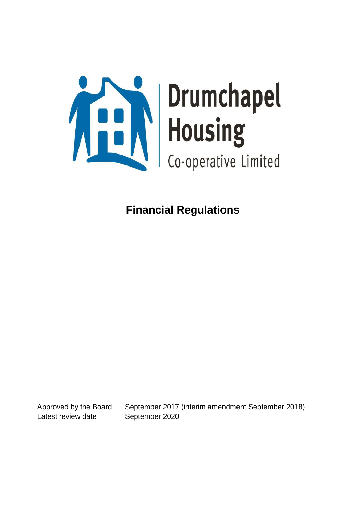

**Financial Regulations**

Latest review date September 2020

Approved by the Board September 2017 (interim amendment September 2018)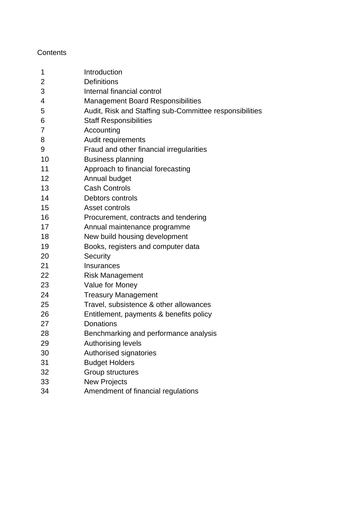# **Contents**

| 1  | Introduction                                            |
|----|---------------------------------------------------------|
| 2  | <b>Definitions</b>                                      |
| 3  | Internal financial control                              |
| 4  | <b>Management Board Responsibilities</b>                |
| 5  | Audit, Risk and Staffing sub-Committee responsibilities |
| 6  | <b>Staff Responsibilities</b>                           |
| 7  | Accounting                                              |
| 8  | Audit requirements                                      |
| 9  | Fraud and other financial irregularities                |
| 10 | <b>Business planning</b>                                |
| 11 | Approach to financial forecasting                       |
| 12 | Annual budget                                           |
| 13 | <b>Cash Controls</b>                                    |
| 14 | Debtors controls                                        |
| 15 | Asset controls                                          |
| 16 | Procurement, contracts and tendering                    |
| 17 | Annual maintenance programme                            |
| 18 | New build housing development                           |
| 19 | Books, registers and computer data                      |
| 20 | Security                                                |
| 21 | <b>Insurances</b>                                       |
| 22 | <b>Risk Management</b>                                  |
| 23 | Value for Money                                         |
| 24 | <b>Treasury Management</b>                              |
| 25 | Travel, subsistence & other allowances                  |
| 26 | Entitlement, payments & benefits policy                 |
| 27 | <b>Donations</b>                                        |
| 28 | Benchmarking and performance analysis                   |
| 29 | Authorising levels                                      |
| 30 | Authorised signatories                                  |
| 31 | <b>Budget Holders</b>                                   |
| 32 | <b>Group structures</b>                                 |
| 33 | <b>New Projects</b>                                     |
| 34 | Amendment of financial regulations                      |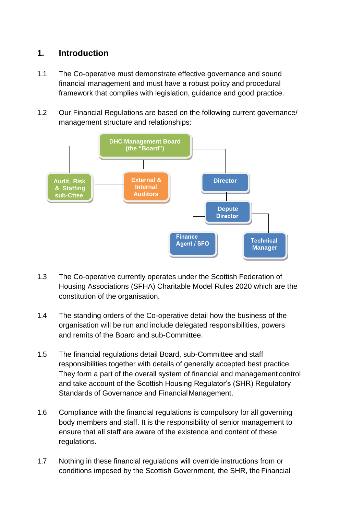# **1. Introduction**

- 1.1 The Co-operative must demonstrate effective governance and sound financial management and must have a robust policy and procedural framework that complies with legislation, guidance and good practice.
- 1.2 Our Financial Regulations are based on the following current governance/ management structure and relationships:



- 1.3 The Co-operative currently operates under the Scottish Federation of Housing Associations (SFHA) Charitable Model Rules 2020 which are the constitution of the organisation.
- 1.4 The standing orders of the Co-operative detail how the business of the organisation will be run and include delegated responsibilities, powers and remits of the Board and sub-Committee.
- 1.5 The financial regulations detail Board, sub-Committee and staff responsibilities together with details of generally accepted best practice. They form a part of the overall system of financial and management control and take account of the Scottish Housing Regulator's (SHR) Regulatory Standards of Governance and FinancialManagement.
- 1.6 Compliance with the financial regulations is compulsory for all governing body members and staff. It is the responsibility of senior management to ensure that all staff are aware of the existence and content of these regulations.
- 1.7 Nothing in these financial regulations will override instructions from or conditions imposed by the Scottish Government, the SHR, the Financial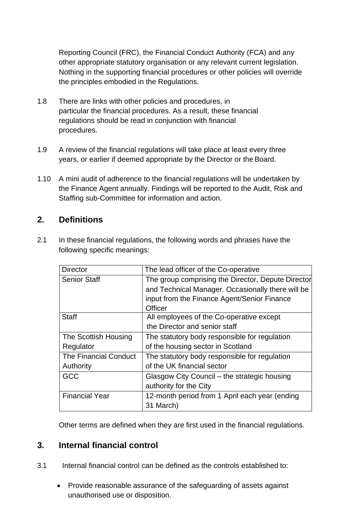Reporting Council (FRC), the Financial Conduct Authority (FCA) and any other appropriate statutory organisation or any relevant current legislation. Nothing in the supporting financial procedures or other policies will override the principles embodied in the Regulations.

- 1.8 There are links with other policies and procedures, in particular the financial procedures. As a result, these financial regulations should be read in conjunction with financial procedures.
- 1.9 A review of the financial regulations will take place at least every three years, or earlier if deemed appropriate by the Director or the Board.
- 1.10 A mini audit of adherence to the financial regulations will be undertaken by the Finance Agent annually. Findings will be reported to the Audit, Risk and Staffing sub-Committee for information and action.

# **2. Definitions**

| <b>Director</b>              | The lead officer of the Co-operative               |  |
|------------------------------|----------------------------------------------------|--|
| <b>Senior Staff</b>          | The group comprising the Director, Depute Director |  |
|                              | and Technical Manager. Occasionally there will be  |  |
|                              | input from the Finance Agent/Senior Finance        |  |
|                              | Officer                                            |  |
| <b>Staff</b>                 | All employees of the Co-operative except           |  |
|                              | the Director and senior staff                      |  |
| The Scottish Housing         | The statutory body responsible for regulation      |  |
| Regulator                    | of the housing sector in Scotland                  |  |
| <b>The Financial Conduct</b> | The statutory body responsible for regulation      |  |
| Authority                    | of the UK financial sector                         |  |
| <b>GCC</b>                   | Glasgow City Council – the strategic housing       |  |
|                              | authority for the City                             |  |
| <b>Financial Year</b>        | 12-month period from 1 April each year (ending     |  |
|                              | 31 March)                                          |  |

2.1 In these financial regulations, the following words and phrases have the following specific meanings:

Other terms are defined when they are first used in the financial regulations.

# **3. Internal financial control**

- 3.1 Internal financial control can be defined as the controls established to:
	- Provide reasonable assurance of the safeguarding of assets against unauthorised use or disposition.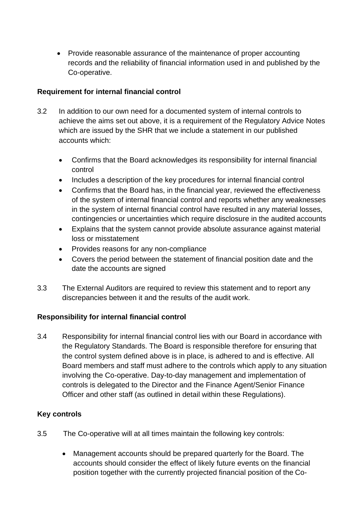• Provide reasonable assurance of the maintenance of proper accounting records and the reliability of financial information used in and published by the Co-operative.

### **Requirement for internal financial control**

- 3.2 In addition to our own need for a documented system of internal controls to achieve the aims set out above, it is a requirement of the Regulatory Advice Notes which are issued by the SHR that we include a statement in our published accounts which:
	- Confirms that the Board acknowledges its responsibility for internal financial control
	- Includes a description of the key procedures for internal financial control
	- Confirms that the Board has, in the financial year, reviewed the effectiveness of the system of internal financial control and reports whether any weaknesses in the system of internal financial control have resulted in any material losses, contingencies or uncertainties which require disclosure in the audited accounts
	- Explains that the system cannot provide absolute assurance against material loss or misstatement
	- Provides reasons for any non-compliance
	- Covers the period between the statement of financial position date and the date the accounts are signed
- 3.3 The External Auditors are required to review this statement and to report any discrepancies between it and the results of the audit work.

## **Responsibility for internal financial control**

3.4 Responsibility for internal financial control lies with our Board in accordance with the Regulatory Standards. The Board is responsible therefore for ensuring that the control system defined above is in place, is adhered to and is effective. All Board members and staff must adhere to the controls which apply to any situation involving the Co-operative. Day-to-day management and implementation of controls is delegated to the Director and the Finance Agent/Senior Finance Officer and other staff (as outlined in detail within these Regulations).

## **Key controls**

- 3.5 The Co-operative will at all times maintain the following key controls:
	- Management accounts should be prepared quarterly for the Board. The accounts should consider the effect of likely future events on the financial position together with the currently projected financial position of the Co-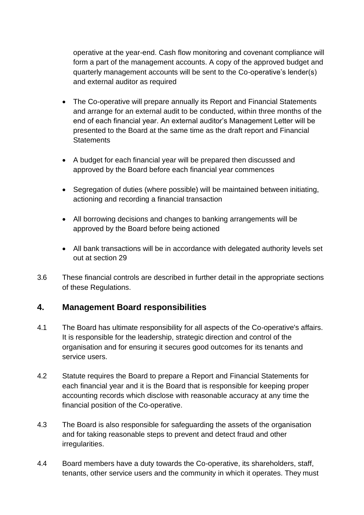operative at the year-end. Cash flow monitoring and covenant compliance will form a part of the management accounts. A copy of the approved budget and quarterly management accounts will be sent to the Co-operative's lender(s) and external auditor as required

- The Co-operative will prepare annually its Report and Financial Statements and arrange for an external audit to be conducted, within three months of the end of each financial year. An external auditor's Management Letter will be presented to the Board at the same time as the draft report and Financial **Statements**
- A budget for each financial year will be prepared then discussed and approved by the Board before each financial year commences
- Segregation of duties (where possible) will be maintained between initiating, actioning and recording a financial transaction
- All borrowing decisions and changes to banking arrangements will be approved by the Board before being actioned
- All bank transactions will be in accordance with delegated authority levels set out at section 29
- 3.6 These financial controls are described in further detail in the appropriate sections of these Regulations.

# **4. Management Board responsibilities**

- 4.1 The Board has ultimate responsibility for all aspects of the Co-operative's affairs. It is responsible for the leadership, strategic direction and control of the organisation and for ensuring it secures good outcomes for its tenants and service users.
- 4.2 Statute requires the Board to prepare a Report and Financial Statements for each financial year and it is the Board that is responsible for keeping proper accounting records which disclose with reasonable accuracy at any time the financial position of the Co-operative.
- 4.3 The Board is also responsible for safeguarding the assets of the organisation and for taking reasonable steps to prevent and detect fraud and other irregularities.
- 4.4 Board members have a duty towards the Co-operative, its shareholders, staff, tenants, other service users and the community in which it operates. They must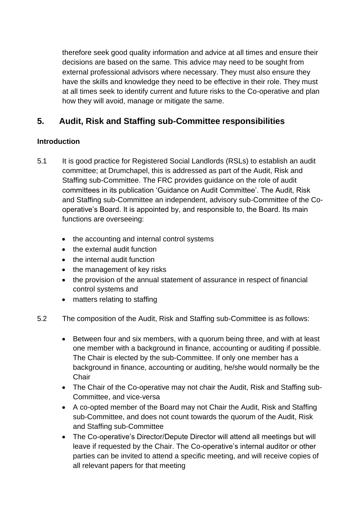therefore seek good quality information and advice at all times and ensure their decisions are based on the same. This advice may need to be sought from external professional advisors where necessary. They must also ensure they have the skills and knowledge they need to be effective in their role. They must at all times seek to identify current and future risks to the Co-operative and plan how they will avoid, manage or mitigate the same.

# **5. Audit, Risk and Staffing sub-Committee responsibilities**

#### **Introduction**

- 5.1 It is good practice for Registered Social Landlords (RSLs) to establish an audit committee; at Drumchapel, this is addressed as part of the Audit, Risk and Staffing sub-Committee. The FRC provides guidance on the role of audit committees in its publication 'Guidance on Audit Committee'. The Audit, Risk and Staffing sub-Committee an independent, advisory sub-Committee of the Cooperative's Board. It is appointed by, and responsible to, the Board. Its main functions are overseeing:
	- the accounting and internal control systems
	- the external audit function
	- the internal audit function
	- the management of key risks
	- the provision of the annual statement of assurance in respect of financial control systems and
	- matters relating to staffing
- 5.2 The composition of the Audit, Risk and Staffing sub-Committee is as follows:
	- Between four and six members, with a quorum being three, and with at least one member with a background in finance, accounting or auditing if possible. The Chair is elected by the sub-Committee. If only one member has a background in finance, accounting or auditing, he/she would normally be the **Chair**
	- The Chair of the Co-operative may not chair the Audit, Risk and Staffing sub-Committee, and vice-versa
	- A co-opted member of the Board may not Chair the Audit, Risk and Staffing sub-Committee, and does not count towards the quorum of the Audit, Risk and Staffing sub-Committee
	- The Co-operative's Director/Depute Director will attend all meetings but will leave if requested by the Chair. The Co-operative's internal auditor or other parties can be invited to attend a specific meeting, and will receive copies of all relevant papers for that meeting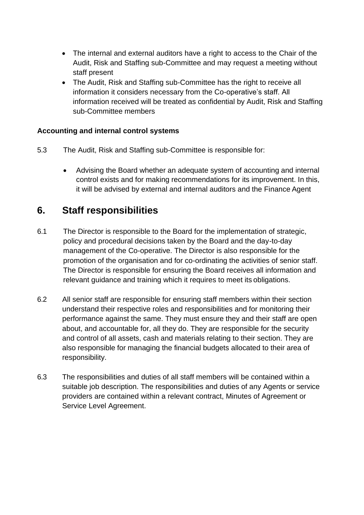- The internal and external auditors have a right to access to the Chair of the Audit, Risk and Staffing sub-Committee and may request a meeting without staff present
- The Audit, Risk and Staffing sub-Committee has the right to receive all information it considers necessary from the Co-operative's staff. All information received will be treated as confidential by Audit, Risk and Staffing sub-Committee members

#### **Accounting and internal control systems**

- 5.3 The Audit, Risk and Staffing sub-Committee is responsible for:
	- Advising the Board whether an adequate system of accounting and internal control exists and for making recommendations for its improvement. In this, it will be advised by external and internal auditors and the Finance Agent

# **6. Staff responsibilities**

- 6.1 The Director is responsible to the Board for the implementation of strategic, policy and procedural decisions taken by the Board and the day-to-day management of the Co-operative. The Director is also responsible for the promotion of the organisation and for co-ordinating the activities of senior staff. The Director is responsible for ensuring the Board receives all information and relevant guidance and training which it requires to meet its obligations.
- 6.2 All senior staff are responsible for ensuring staff members within their section understand their respective roles and responsibilities and for monitoring their performance against the same. They must ensure they and their staff are open about, and accountable for, all they do. They are responsible for the security and control of all assets, cash and materials relating to their section. They are also responsible for managing the financial budgets allocated to their area of responsibility.
- 6.3 The responsibilities and duties of all staff members will be contained within a suitable job description. The responsibilities and duties of any Agents or service providers are contained within a relevant contract, Minutes of Agreement or Service Level Agreement.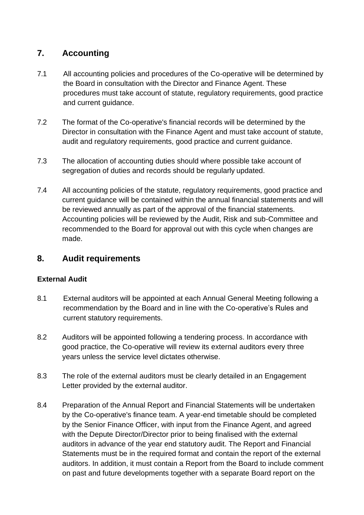# **7. Accounting**

- 7.1 All accounting policies and procedures of the Co-operative will be determined by the Board in consultation with the Director and Finance Agent. These procedures must take account of statute, regulatory requirements, good practice and current guidance.
- 7.2 The format of the Co-operative's financial records will be determined by the Director in consultation with the Finance Agent and must take account of statute, audit and regulatory requirements, good practice and current guidance.
- 7.3 The allocation of accounting duties should where possible take account of segregation of duties and records should be regularly updated.
- 7.4 All accounting policies of the statute, regulatory requirements, good practice and current guidance will be contained within the annual financial statements and will be reviewed annually as part of the approval of the financial statements. Accounting policies will be reviewed by the Audit, Risk and sub-Committee and recommended to the Board for approval out with this cycle when changes are made.

# **8. Audit requirements**

## **External Audit**

- 8.1 External auditors will be appointed at each Annual General Meeting following a recommendation by the Board and in line with the Co-operative's Rules and current statutory requirements.
- 8.2 Auditors will be appointed following a tendering process. In accordance with good practice, the Co-operative will review its external auditors every three years unless the service level dictates otherwise.
- 8.3 The role of the external auditors must be clearly detailed in an Engagement Letter provided by the external auditor.
- 8.4 Preparation of the Annual Report and Financial Statements will be undertaken by the Co-operative's finance team. A year-end timetable should be completed by the Senior Finance Officer, with input from the Finance Agent, and agreed with the Depute Director/Director prior to being finalised with the external auditors in advance of the year end statutory audit. The Report and Financial Statements must be in the required format and contain the report of the external auditors. In addition, it must contain a Report from the Board to include comment on past and future developments together with a separate Board report on the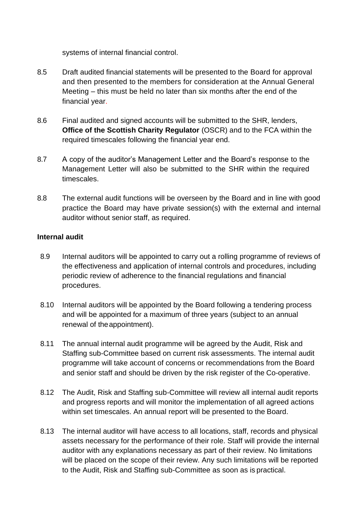systems of internal financial control.

- 8.5 Draft audited financial statements will be presented to the Board for approval and then presented to the members for consideration at the Annual General Meeting – this must be held no later than six months after the end of the financial year.
- 8.6 Final audited and signed accounts will be submitted to the SHR, lenders, **Office of the Scottish Charity Regulator** (OSCR) and to the FCA within the required timescales following the financial year end.
- 8.7 A copy of the auditor's Management Letter and the Board's response to the Management Letter will also be submitted to the SHR within the required timescales.
- 8.8 The external audit functions will be overseen by the Board and in line with good practice the Board may have private session(s) with the external and internal auditor without senior staff, as required.

#### **Internal audit**

- 8.9 Internal auditors will be appointed to carry out a rolling programme of reviews of the effectiveness and application of internal controls and procedures, including periodic review of adherence to the financial regulations and financial procedures.
- 8.10 Internal auditors will be appointed by the Board following a tendering process and will be appointed for a maximum of three years (subject to an annual renewal of theappointment).
- 8.11 The annual internal audit programme will be agreed by the Audit, Risk and Staffing sub-Committee based on current risk assessments. The internal audit programme will take account of concerns or recommendations from the Board and senior staff and should be driven by the risk register of the Co-operative.
- 8.12 The Audit, Risk and Staffing sub-Committee will review all internal audit reports and progress reports and will monitor the implementation of all agreed actions within set timescales. An annual report will be presented to the Board.
- 8.13 The internal auditor will have access to all locations, staff, records and physical assets necessary for the performance of their role. Staff will provide the internal auditor with any explanations necessary as part of their review. No limitations will be placed on the scope of their review. Any such limitations will be reported to the Audit, Risk and Staffing sub-Committee as soon as is practical.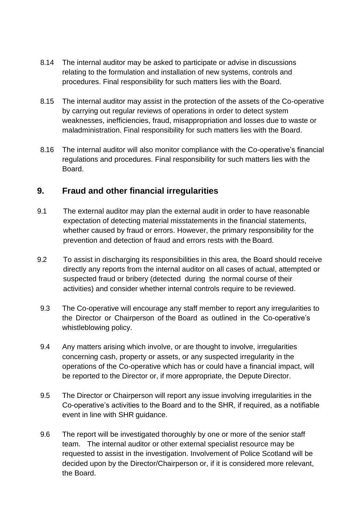- 8.14 The internal auditor may be asked to participate or advise in discussions relating to the formulation and installation of new systems, controls and procedures. Final responsibility for such matters lies with the Board.
- 8.15 The internal auditor may assist in the protection of the assets of the Co-operative by carrying out regular reviews of operations in order to detect system weaknesses, inefficiencies, fraud, misappropriation and losses due to waste or maladministration. Final responsibility for such matters lies with the Board.
- 8.16 The internal auditor will also monitor compliance with the Co-operative's financial regulations and procedures. Final responsibility for such matters lies with the Board.

# **9. Fraud and other financial irregularities**

- 9.1 The external auditor may plan the external audit in order to have reasonable expectation of detecting material misstatements in the financial statements, whether caused by fraud or errors. However, the primary responsibility for the prevention and detection of fraud and errors rests with the Board.
- 9.2 To assist in discharging its responsibilities in this area, the Board should receive directly any reports from the internal auditor on all cases of actual, attempted or suspected fraud or bribery (detected during the normal course of their activities) and consider whether internal controls require to be reviewed.
- 9.3 The Co-operative will encourage any staff member to report any irregularities to the Director or Chairperson of the Board as outlined in the Co-operative's whistleblowing policy.
- 9.4 Any matters arising which involve, or are thought to involve, irregularities concerning cash, property or assets, or any suspected irregularity in the operations of the Co-operative which has or could have a financial impact, will be reported to the Director or, if more appropriate, the Depute Director.
- 9.5 The Director or Chairperson will report any issue involving irregularities in the Co-operative's activities to the Board and to the SHR, if required, as a notifiable event in line with SHR guidance.
- 9.6 The report will be investigated thoroughly by one or more of the senior staff team. The internal auditor or other external specialist resource may be requested to assist in the investigation. Involvement of Police Scotland will be decided upon by the Director/Chairperson or, if it is considered more relevant, the Board.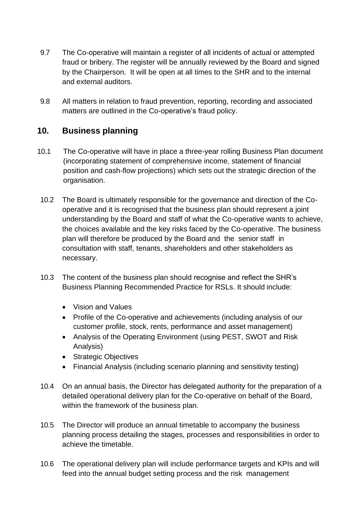- 9.7 The Co-operative will maintain a register of all incidents of actual or attempted fraud or bribery. The register will be annually reviewed by the Board and signed by the Chairperson. It will be open at all times to the SHR and to the internal and external auditors.
- 9.8 All matters in relation to fraud prevention, reporting, recording and associated matters are outlined in the Co-operative's fraud policy.

# **10. Business planning**

- 10.1 The Co-operative will have in place a three-year rolling Business Plan document (incorporating statement of comprehensive income, statement of financial position and cash-flow projections) which sets out the strategic direction of the organisation.
- 10.2 The Board is ultimately responsible for the governance and direction of the Cooperative and it is recognised that the business plan should represent a joint understanding by the Board and staff of what the Co-operative wants to achieve, the choices available and the key risks faced by the Co-operative. The business plan will therefore be produced by the Board and the senior staff in consultation with staff, tenants, shareholders and other stakeholders as necessary.
- 10.3 The content of the business plan should recognise and reflect the SHR's Business Planning Recommended Practice for RSLs. It should include:
	- Vision and Values
	- Profile of the Co-operative and achievements (including analysis of our customer profile, stock, rents, performance and asset management)
	- Analysis of the Operating Environment (using PEST, SWOT and Risk Analysis)
	- Strategic Objectives
	- Financial Analysis (including scenario planning and sensitivity testing)
- 10.4 On an annual basis, the Director has delegated authority for the preparation of a detailed operational delivery plan for the Co-operative on behalf of the Board, within the framework of the business plan.
- 10.5 The Director will produce an annual timetable to accompany the business planning process detailing the stages, processes and responsibilities in order to achieve the timetable.
- 10.6 The operational delivery plan will include performance targets and KPIs and will feed into the annual budget setting process and the risk management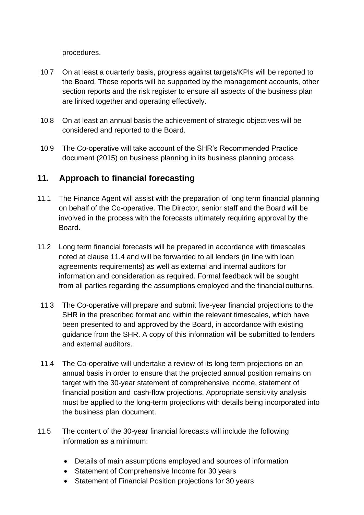procedures.

- 10.7 On at least a quarterly basis, progress against targets/KPIs will be reported to the Board. These reports will be supported by the management accounts, other section reports and the risk register to ensure all aspects of the business plan are linked together and operating effectively.
- 10.8 On at least an annual basis the achievement of strategic objectives will be considered and reported to the Board.
- 10.9 The Co-operative will take account of the SHR's Recommended Practice document (2015) on business planning in its business planning process

# **11. Approach to financial forecasting**

- 11.1 The Finance Agent will assist with the preparation of long term financial planning on behalf of the Co-operative. The Director, senior staff and the Board will be involved in the process with the forecasts ultimately requiring approval by the Board.
- 11.2 Long term financial forecasts will be prepared in accordance with timescales noted at clause 11.4 and will be forwarded to all lenders (in line with loan agreements requirements) as well as external and internal auditors for information and consideration as required. Formal feedback will be sought from all parties regarding the assumptions employed and the financial outturns.
- 11.3 The Co-operative will prepare and submit five-year financial projections to the SHR in the prescribed format and within the relevant timescales, which have been presented to and approved by the Board, in accordance with existing guidance from the SHR. A copy of this information will be submitted to lenders and external auditors.
- 11.4 The Co-operative will undertake a review of its long term projections on an annual basis in order to ensure that the projected annual position remains on target with the 30-year statement of comprehensive income, statement of financial position and cash-flow projections. Appropriate sensitivity analysis must be applied to the long-term projections with details being incorporated into the business plan document.
- 11.5 The content of the 30-year financial forecasts will include the following information as a minimum:
	- Details of main assumptions employed and sources of information
	- Statement of Comprehensive Income for 30 years
	- Statement of Financial Position projections for 30 years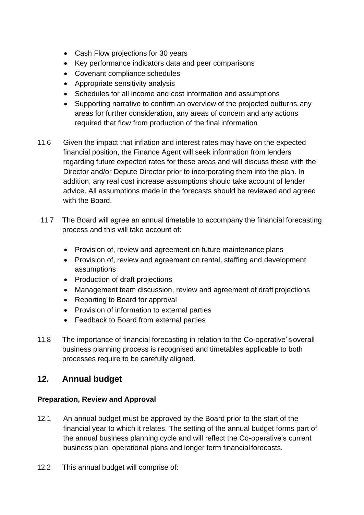- Cash Flow projections for 30 years
- Key performance indicators data and peer comparisons
- Covenant compliance schedules
- Appropriate sensitivity analysis
- Schedules for all income and cost information and assumptions
- Supporting narrative to confirm an overview of the projected outturns,any areas for further consideration, any areas of concern and any actions required that flow from production of the final information
- 11.6 Given the impact that inflation and interest rates may have on the expected financial position, the Finance Agent will seek information from lenders regarding future expected rates for these areas and will discuss these with the Director and/or Depute Director prior to incorporating them into the plan. In addition, any real cost increase assumptions should take account of lender advice. All assumptions made in the forecasts should be reviewed and agreed with the Board.
- 11.7 The Board will agree an annual timetable to accompany the financial forecasting process and this will take account of:
	- Provision of, review and agreement on future maintenance plans
	- Provision of, review and agreement on rental, staffing and development assumptions
	- Production of draft projections
	- Management team discussion, review and agreement of draft projections
	- Reporting to Board for approval
	- Provision of information to external parties
	- Feedback to Board from external parties
- 11.8 The importance of financial forecasting in relation to the Co-operative' s overall business planning process is recognised and timetables applicable to both processes require to be carefully aligned.

# **12. Annual budget**

#### **Preparation, Review and Approval**

- 12.1 An annual budget must be approved by the Board prior to the start of the financial year to which it relates. The setting of the annual budget forms part of the annual business planning cycle and will reflect the Co-operative's current business plan, operational plans and longer term financial forecasts.
- 12.2 This annual budget will comprise of: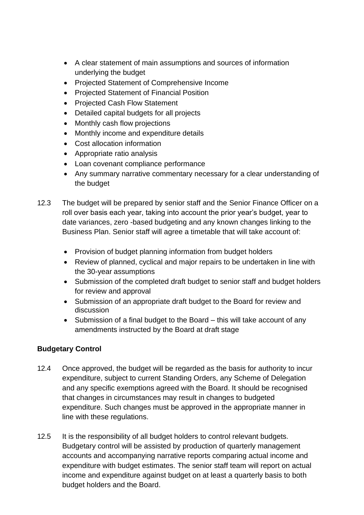- A clear statement of main assumptions and sources of information underlying the budget
- Projected Statement of Comprehensive Income
- Projected Statement of Financial Position
- Projected Cash Flow Statement
- Detailed capital budgets for all projects
- Monthly cash flow projections
- Monthly income and expenditure details
- Cost allocation information
- Appropriate ratio analysis
- Loan covenant compliance performance
- Any summary narrative commentary necessary for a clear understanding of the budget
- 12.3 The budget will be prepared by senior staff and the Senior Finance Officer on a roll over basis each year, taking into account the prior year's budget, year to date variances, zero -based budgeting and any known changes linking to the Business Plan. Senior staff will agree a timetable that will take account of:
	- Provision of budget planning information from budget holders
	- Review of planned, cyclical and major repairs to be undertaken in line with the 30-year assumptions
	- Submission of the completed draft budget to senior staff and budget holders for review and approval
	- Submission of an appropriate draft budget to the Board for review and discussion
	- Submission of a final budget to the Board this will take account of any amendments instructed by the Board at draft stage

#### **Budgetary Control**

- 12.4 Once approved, the budget will be regarded as the basis for authority to incur expenditure, subject to current Standing Orders, any Scheme of Delegation and any specific exemptions agreed with the Board. It should be recognised that changes in circumstances may result in changes to budgeted expenditure. Such changes must be approved in the appropriate manner in line with these regulations.
- 12.5 It is the responsibility of all budget holders to control relevant budgets. Budgetary control will be assisted by production of quarterly management accounts and accompanying narrative reports comparing actual income and expenditure with budget estimates. The senior staff team will report on actual income and expenditure against budget on at least a quarterly basis to both budget holders and the Board.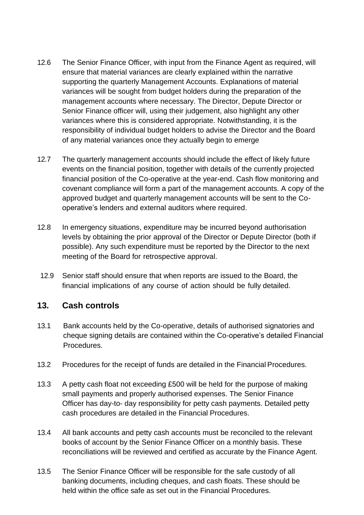- 12.6 The Senior Finance Officer, with input from the Finance Agent as required, will ensure that material variances are clearly explained within the narrative supporting the quarterly Management Accounts. Explanations of material variances will be sought from budget holders during the preparation of the management accounts where necessary. The Director, Depute Director or Senior Finance officer will, using their judgement, also highlight any other variances where this is considered appropriate. Notwithstanding, it is the responsibility of individual budget holders to advise the Director and the Board of any material variances once they actually begin to emerge
- 12.7 The quarterly management accounts should include the effect of likely future events on the financial position, together with details of the currently projected financial position of the Co-operative at the year-end. Cash flow monitoring and covenant compliance will form a part of the management accounts. A copy of the approved budget and quarterly management accounts will be sent to the Cooperative's lenders and external auditors where required.
- 12.8 In emergency situations, expenditure may be incurred beyond authorisation levels by obtaining the prior approval of the Director or Depute Director (both if possible). Any such expenditure must be reported by the Director to the next meeting of the Board for retrospective approval.
- 12.9 Senior staff should ensure that when reports are issued to the Board, the financial implications of any course of action should be fully detailed.

# **13. Cash controls**

- 13.1 Bank accounts held by the Co-operative, details of authorised signatories and cheque signing details are contained within the Co-operative's detailed Financial Procedures.
- 13.2 Procedures for the receipt of funds are detailed in the Financial Procedures.
- 13.3 A petty cash float not exceeding £500 will be held for the purpose of making small payments and properly authorised expenses. The Senior Finance Officer has day-to- day responsibility for petty cash payments. Detailed petty cash procedures are detailed in the Financial Procedures.
- 13.4 All bank accounts and petty cash accounts must be reconciled to the relevant books of account by the Senior Finance Officer on a monthly basis. These reconciliations will be reviewed and certified as accurate by the Finance Agent.
- 13.5 The Senior Finance Officer will be responsible for the safe custody of all banking documents, including cheques, and cash floats. These should be held within the office safe as set out in the Financial Procedures.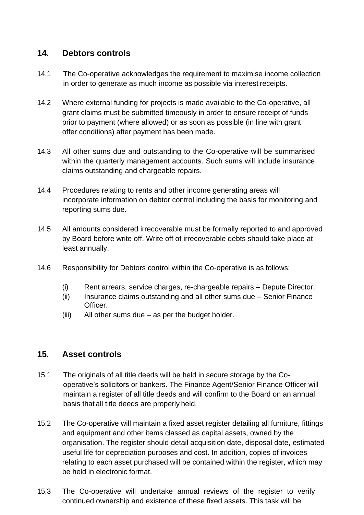## **14. Debtors controls**

- 14.1 The Co-operative acknowledges the requirement to maximise income collection in order to generate as much income as possible via interest receipts.
- 14.2 Where external funding for projects is made available to the Co-operative, all grant claims must be submitted timeously in order to ensure receipt of funds prior to payment (where allowed) or as soon as possible (in line with grant offer conditions) after payment has been made.
- 14.3 All other sums due and outstanding to the Co-operative will be summarised within the quarterly management accounts. Such sums will include insurance claims outstanding and chargeable repairs.
- 14.4 Procedures relating to rents and other income generating areas will incorporate information on debtor control including the basis for monitoring and reporting sums due.
- 14.5 All amounts considered irrecoverable must be formally reported to and approved by Board before write off. Write off of irrecoverable debts should take place at least annually.
- 14.6 Responsibility for Debtors control within the Co-operative is as follows:
	- (i) Rent arrears, service charges, re-chargeable repairs Depute Director.
	- (ii) Insurance claims outstanding and all other sums due Senior Finance Officer.
	- (iii) All other sums due as per the budget holder.

# **15. Asset controls**

- 15.1 The originals of all title deeds will be held in secure storage by the Cooperative's solicitors or bankers. The Finance Agent/Senior Finance Officer will maintain a register of all title deeds and will confirm to the Board on an annual basis that all title deeds are properly held.
- 15.2 The Co-operative will maintain a fixed asset register detailing all furniture, fittings and equipment and other items classed as capital assets, owned by the organisation. The register should detail acquisition date, disposal date, estimated useful life for depreciation purposes and cost. In addition, copies of invoices relating to each asset purchased will be contained within the register, which may be held in electronic format.
- 15.3 The Co-operative will undertake annual reviews of the register to verify continued ownership and existence of these fixed assets. This task will be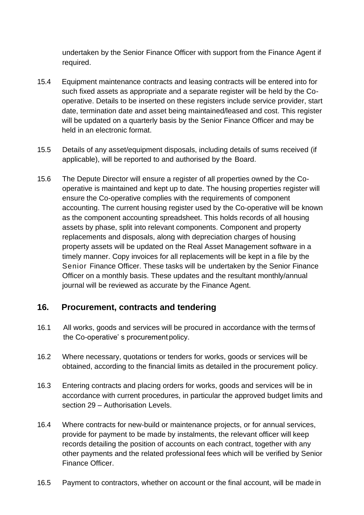undertaken by the Senior Finance Officer with support from the Finance Agent if required.

- 15.4 Equipment maintenance contracts and leasing contracts will be entered into for such fixed assets as appropriate and a separate register will be held by the Cooperative. Details to be inserted on these registers include service provider, start date, termination date and asset being maintained/leased and cost. This register will be updated on a quarterly basis by the Senior Finance Officer and may be held in an electronic format.
- 15.5 Details of any asset/equipment disposals, including details of sums received (if applicable), will be reported to and authorised by the Board.
- 15.6 The Depute Director will ensure a register of all properties owned by the Cooperative is maintained and kept up to date. The housing properties register will ensure the Co-operative complies with the requirements of component accounting. The current housing register used by the Co-operative will be known as the component accounting spreadsheet. This holds records of all housing assets by phase, split into relevant components. Component and property replacements and disposals, along with depreciation charges of housing property assets will be updated on the Real Asset Management software in a timely manner. Copy invoices for all replacements will be kept in a file by the Senior Finance Officer. These tasks will be undertaken by the Senior Finance Officer on a monthly basis. These updates and the resultant monthly/annual journal will be reviewed as accurate by the Finance Agent.

# **16. Procurement, contracts and tendering**

- 16.1 All works, goods and services will be procured in accordance with the termsof the Co-operative' s procurement policy.
- 16.2 Where necessary, quotations or tenders for works, goods or services will be obtained, according to the financial limits as detailed in the procurement policy.
- 16.3 Entering contracts and placing orders for works, goods and services will be in accordance with current procedures, in particular the approved budget limits and section 29 – Authorisation Levels.
- 16.4 Where contracts for new-build or maintenance projects, or for annual services, provide for payment to be made by instalments, the relevant officer will keep records detailing the position of accounts on each contract, together with any other payments and the related professional fees which will be verified by Senior Finance Officer.
- 16.5 Payment to contractors, whether on account or the final account, will be made in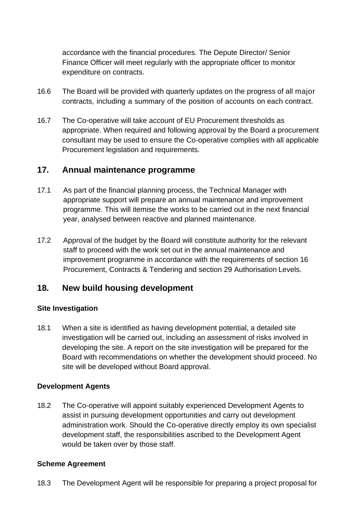accordance with the financial procedures. The Depute Director/ Senior Finance Officer will meet regularly with the appropriate officer to monitor expenditure on contracts.

- 16.6 The Board will be provided with quarterly updates on the progress of all major contracts, including a summary of the position of accounts on each contract.
- 16.7 The Co-operative will take account of EU Procurement thresholds as appropriate. When required and following approval by the Board a procurement consultant may be used to ensure the Co-operative complies with all applicable Procurement legislation and requirements.

## **17. Annual maintenance programme**

- 17.1 As part of the financial planning process, the Technical Manager with appropriate support will prepare an annual maintenance and improvement programme. This will itemise the works to be carried out in the next financial year, analysed between reactive and planned maintenance.
- 17.2 Approval of the budget by the Board will constitute authority for the relevant staff to proceed with the work set out in the annual maintenance and improvement programme in accordance with the requirements of section 16 Procurement, Contracts & Tendering and section 29 Authorisation Levels.

## **18. New build housing development**

#### **Site Investigation**

18.1 When a site is identified as having development potential, a detailed site investigation will be carried out, including an assessment of risks involved in developing the site. A report on the site investigation will be prepared for the Board with recommendations on whether the development should proceed. No site will be developed without Board approval.

#### **Development Agents**

18.2 The Co-operative will appoint suitably experienced Development Agents to assist in pursuing development opportunities and carry out development administration work. Should the Co-operative directly employ its own specialist development staff, the responsibilities ascribed to the Development Agent would be taken over by those staff.

#### **Scheme Agreement**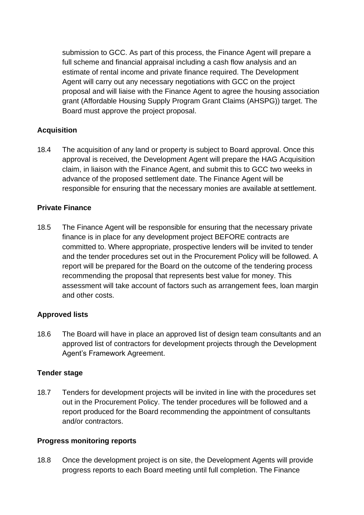submission to GCC. As part of this process, the Finance Agent will prepare a full scheme and financial appraisal including a cash flow analysis and an estimate of rental income and private finance required. The Development Agent will carry out any necessary negotiations with GCC on the project proposal and will liaise with the Finance Agent to agree the housing association grant (Affordable Housing Supply Program Grant Claims (AHSPG)) target. The Board must approve the project proposal.

#### **Acquisition**

18.4 The acquisition of any land or property is subject to Board approval. Once this approval is received, the Development Agent will prepare the HAG Acquisition claim, in liaison with the Finance Agent, and submit this to GCC two weeks in advance of the proposed settlement date. The Finance Agent will be responsible for ensuring that the necessary monies are available at settlement.

#### **Private Finance**

18.5 The Finance Agent will be responsible for ensuring that the necessary private finance is in place for any development project BEFORE contracts are committed to. Where appropriate, prospective lenders will be invited to tender and the tender procedures set out in the Procurement Policy will be followed. A report will be prepared for the Board on the outcome of the tendering process recommending the proposal that represents best value for money. This assessment will take account of factors such as arrangement fees, loan margin and other costs.

#### **Approved lists**

18.6 The Board will have in place an approved list of design team consultants and an approved list of contractors for development projects through the Development Agent's Framework Agreement.

#### **Tender stage**

18.7 Tenders for development projects will be invited in line with the procedures set out in the Procurement Policy. The tender procedures will be followed and a report produced for the Board recommending the appointment of consultants and/or contractors.

#### **Progress monitoring reports**

18.8 Once the development project is on site, the Development Agents will provide progress reports to each Board meeting until full completion. The Finance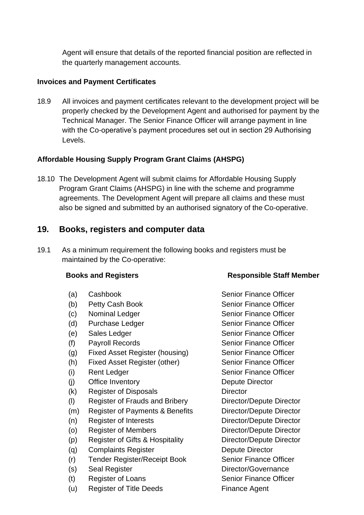Agent will ensure that details of the reported financial position are reflected in the quarterly management accounts.

#### **Invoices and Payment Certificates**

18.9 All invoices and payment certificates relevant to the development project will be properly checked by the Development Agent and authorised for payment by the Technical Manager. The Senior Finance Officer will arrange payment in line with the Co-operative's payment procedures set out in section 29 Authorising Levels.

#### **Affordable Housing Supply Program Grant Claims (AHSPG)**

18.10 The Development Agent will submit claims for Affordable Housing Supply Program Grant Claims (AHSPG) in line with the scheme and programme agreements. The Development Agent will prepare all claims and these must also be signed and submitted by an authorised signatory of the Co-operative.

## **19. Books, registers and computer data**

19.1 As a minimum requirement the following books and registers must be maintained by the Co-operative:

- (a) Cashbook
- (b) Petty Cash Book
- (c) Nominal Ledger
- (d) Purchase Ledger
- (e) Sales Ledger
- (f) Payroll Records
- (g) Fixed Asset Register (housing)
- (h) Fixed Asset Register (other)
- (i) Rent Ledger
- (j) Office Inventory
- (k) Register of Disposals
- (l) Register of Frauds and Bribery
- (m) Register of Payments & Benefits
- (n) Register of Interests
- (o) Register of Members
- (p) Register of Gifts & Hospitality
- (q) Complaints Register
- (r) Tender Register/Receipt Book
- (s) Seal Register
- (t) Register of Loans
- (u) Register of Title Deeds

#### **Books and Registers Responsible Staff Member**

Senior Finance Officer Senior Finance Officer Senior Finance Officer Senior Finance Officer Senior Finance Officer Senior Finance Officer Senior Finance Officer Senior Finance Officer Senior Finance Officer Depute Director **Director** Director/Depute Director Director/Depute Director Director/Depute Director Director/Depute Director Director/Depute Director Depute Director Senior Finance Officer Director/Governance Senior Finance Officer Finance Agent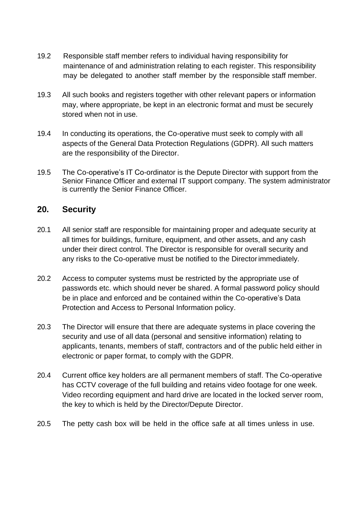- 19.2 Responsible staff member refers to individual having responsibility for maintenance of and administration relating to each register. This responsibility may be delegated to another staff member by the responsible staff member.
- 19.3 All such books and registers together with other relevant papers or information may, where appropriate, be kept in an electronic format and must be securely stored when not in use.
- 19.4 In conducting its operations, the Co-operative must seek to comply with all aspects of the General Data Protection Regulations (GDPR). All such matters are the responsibility of the Director.
- 19.5 The Co-operative's IT Co-ordinator is the Depute Director with support from the Senior Finance Officer and external IT support company. The system administrator is currently the Senior Finance Officer.

## **20. Security**

- 20.1 All senior staff are responsible for maintaining proper and adequate security at all times for buildings, furniture, equipment, and other assets, and any cash under their direct control. The Director is responsible for overall security and any risks to the Co-operative must be notified to the Directorimmediately.
- 20.2 Access to computer systems must be restricted by the appropriate use of passwords etc. which should never be shared. A formal password policy should be in place and enforced and be contained within the Co-operative's Data Protection and Access to Personal Information policy.
- 20.3 The Director will ensure that there are adequate systems in place covering the security and use of all data (personal and sensitive information) relating to applicants, tenants, members of staff, contractors and of the public held either in electronic or paper format, to comply with the GDPR.
- 20.4 Current office key holders are all permanent members of staff. The Co-operative has CCTV coverage of the full building and retains video footage for one week. Video recording equipment and hard drive are located in the locked server room, the key to which is held by the Director/Depute Director.
- 20.5 The petty cash box will be held in the office safe at all times unless in use.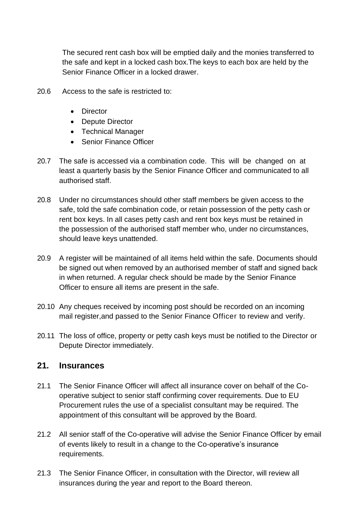The secured rent cash box will be emptied daily and the monies transferred to the safe and kept in a locked cash box.The keys to each box are held by the Senior Finance Officer in a locked drawer.

- 20.6 Access to the safe is restricted to:
	- Director
	- Depute Director
	- Technical Manager
	- Senior Finance Officer
- 20.7 The safe is accessed via a combination code. This will be changed on at least a quarterly basis by the Senior Finance Officer and communicated to all authorised staff.
- 20.8 Under no circumstances should other staff members be given access to the safe, told the safe combination code, or retain possession of the petty cash or rent box keys. In all cases petty cash and rent box keys must be retained in the possession of the authorised staff member who, under no circumstances, should leave keys unattended.
- 20.9 A register will be maintained of all items held within the safe. Documents should be signed out when removed by an authorised member of staff and signed back in when returned. A regular check should be made by the Senior Finance Officer to ensure all items are present in the safe.
- 20.10 Any cheques received by incoming post should be recorded on an incoming mail register,and passed to the Senior Finance Officer to review and verify.
- 20.11 The loss of office, property or petty cash keys must be notified to the Director or Depute Director immediately.

## **21. Insurances**

- 21.1 The Senior Finance Officer will affect all insurance cover on behalf of the Cooperative subject to senior staff confirming cover requirements. Due to EU Procurement rules the use of a specialist consultant may be required. The appointment of this consultant will be approved by the Board.
- 21.2 All senior staff of the Co-operative will advise the Senior Finance Officer by email of events likely to result in a change to the Co-operative's insurance requirements.
- 21.3 The Senior Finance Officer, in consultation with the Director, will review all insurances during the year and report to the Board thereon.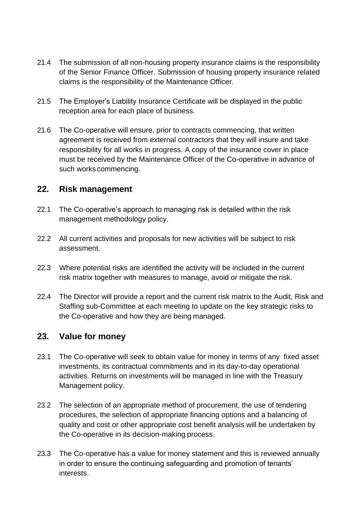- 21.4 The submission of all non-housing property insurance claims is the responsibility of the Senior Finance Officer. Submission of housing property insurance related claims is the responsibility of the Maintenance Officer.
- 21.5 The Employer's Liability Insurance Certificate will be displayed in the public reception area for each place of business.
- 21.6 The Co-operative will ensure, prior to contracts commencing, that written agreement is received from external contractors that they will insure and take responsibility for all works in progress. A copy of the insurance cover in place must be received by the Maintenance Officer of the Co-operative in advance of such works commencing.

## **22. Risk management**

- 22.1 The Co-operative's approach to managing risk is detailed within the risk management methodology policy.
- 22.2 All current activities and proposals for new activities will be subject to risk assessment.
- 22.3 Where potential risks are identified the activity will be included in the current risk matrix together with measures to manage, avoid or mitigate the risk.
- 22.4 The Director will provide a report and the current risk matrix to the Audit, Risk and Staffing sub-Committee at each meeting to update on the key strategic risks to the Co-operative and how they are being managed.

## **23. Value for money**

- 23.1 The Co-operative will seek to obtain value for money in terms of any fixed asset investments, its contractual commitments and in its day-to-day operational activities. Returns on investments will be managed in line with the Treasury Management policy.
- 23.2 The selection of an appropriate method of procurement, the use of tendering procedures, the selection of appropriate financing options and a balancing of quality and cost or other appropriate cost benefit analysis will be undertaken by the Co-operative in its decision-making process.
- 23.3 The Co-operative has a value for money statement and this is reviewed annually in order to ensure the continuing safeguarding and promotion of tenants' interests.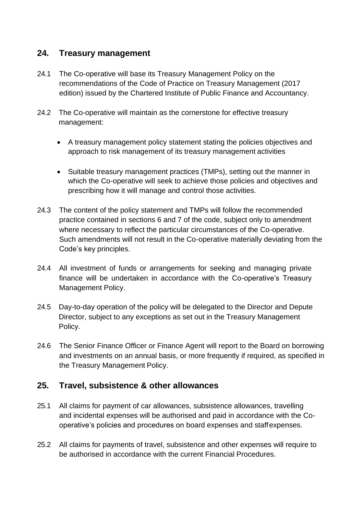## **24. Treasury management**

- 24.1 The Co-operative will base its Treasury Management Policy on the recommendations of the Code of Practice on Treasury Management (2017 edition) issued by the Chartered Institute of Public Finance and Accountancy.
- 24.2 The Co-operative will maintain as the cornerstone for effective treasury management:
	- A treasury management policy statement stating the policies objectives and approach to risk management of its treasury management activities
	- Suitable treasury management practices (TMPs), setting out the manner in which the Co-operative will seek to achieve those policies and objectives and prescribing how it will manage and control those activities.
- 24.3 The content of the policy statement and TMPs will follow the recommended practice contained in sections 6 and 7 of the code, subject only to amendment where necessary to reflect the particular circumstances of the Co-operative. Such amendments will not result in the Co-operative materially deviating from the Code's key principles.
- 24.4 All investment of funds or arrangements for seeking and managing private finance will be undertaken in accordance with the Co-operative's Treasury Management Policy.
- 24.5 Day-to-day operation of the policy will be delegated to the Director and Depute Director, subject to any exceptions as set out in the Treasury Management Policy.
- 24.6 The Senior Finance Officer or Finance Agent will report to the Board on borrowing and investments on an annual basis, or more frequently if required, as specified in the Treasury Management Policy.

# **25. Travel, subsistence & other allowances**

- 25.1 All claims for payment of car allowances, subsistence allowances, travelling and incidental expenses will be authorised and paid in accordance with the Cooperative's policies and procedures on board expenses and staffexpenses.
- 25.2 All claims for payments of travel, subsistence and other expenses will require to be authorised in accordance with the current Financial Procedures.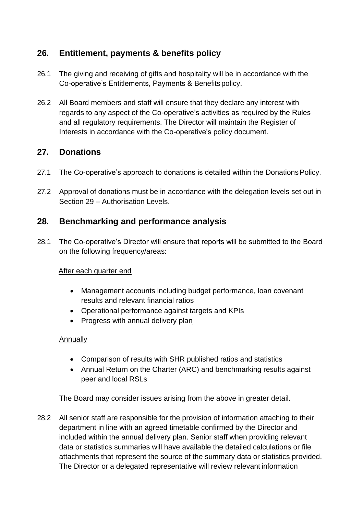# **26. Entitlement, payments & benefits policy**

- 26.1 The giving and receiving of gifts and hospitality will be in accordance with the Co-operative's Entitlements, Payments & Benefits policy.
- 26.2 All Board members and staff will ensure that they declare any interest with regards to any aspect of the Co-operative's activities as required by the Rules and all regulatory requirements. The Director will maintain the Register of Interests in accordance with the Co-operative's policy document.

# **27. Donations**

- 27.1 The Co-operative's approach to donations is detailed within the Donations Policy.
- 27.2 Approval of donations must be in accordance with the delegation levels set out in Section 29 – Authorisation Levels.

# **28. Benchmarking and performance analysis**

28.1 The Co-operative's Director will ensure that reports will be submitted to the Board on the following frequency/areas:

#### After each quarter end

- Management accounts including budget performance, loan covenant results and relevant financial ratios
- Operational performance against targets and KPIs
- Progress with annual delivery plan

#### **Annually**

- Comparison of results with SHR published ratios and statistics
- Annual Return on the Charter (ARC) and benchmarking results against peer and local RSLs

The Board may consider issues arising from the above in greater detail.

28.2 All senior staff are responsible for the provision of information attaching to their department in line with an agreed timetable confirmed by the Director and included within the annual delivery plan. Senior staff when providing relevant data or statistics summaries will have available the detailed calculations or file attachments that represent the source of the summary data or statistics provided. The Director or a delegated representative will review relevant information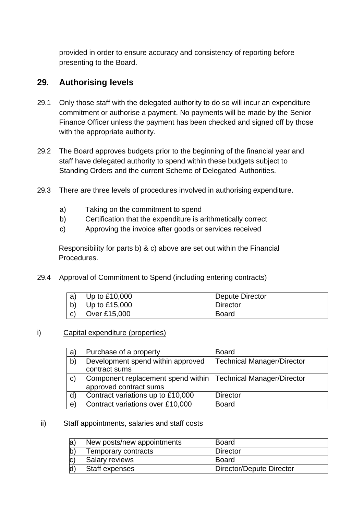provided in order to ensure accuracy and consistency of reporting before presenting to the Board.

## **29. Authorising levels**

- 29.1 Only those staff with the delegated authority to do so will incur an expenditure commitment or authorise a payment. No payments will be made by the Senior Finance Officer unless the payment has been checked and signed off by those with the appropriate authority.
- 29.2 The Board approves budgets prior to the beginning of the financial year and staff have delegated authority to spend within these budgets subject to Standing Orders and the current Scheme of Delegated Authorities.
- 29.3 There are three levels of procedures involved in authorising expenditure.
	- a) Taking on the commitment to spend
	- b) Certification that the expenditure is arithmetically correct
	- c) Approving the invoice after goods or services received

Responsibility for parts b) & c) above are set out within the Financial Procedures.

29.4 Approval of Commitment to Spend (including entering contracts)

| Up to $£10,000$ | Depute Director  |
|-----------------|------------------|
| Up to $£15,000$ | <b>IDirector</b> |
| Over £15,000    | <b>Board</b>     |

#### i) Capital expenditure (properties)

| a,           | Purchase of a property                                        | Board                             |
|--------------|---------------------------------------------------------------|-----------------------------------|
| $\mathsf{b}$ | Development spend within approved<br>contract sums            | <b>Technical Manager/Director</b> |
| $\mathbf{C}$ | Component replacement spend within Technical Manager/Director |                                   |
|              | approved contract sums                                        |                                   |
| $\mathsf{d}$ | Contract variations up to £10,000                             | Director                          |
| e            | Contract variations over £10,000                              | <b>Board</b>                      |

#### ii) Staff appointments, salaries and staff costs

| la)         | New posts/new appointments | Board                    |
|-------------|----------------------------|--------------------------|
| $ b\rangle$ | <b>Temporary contracts</b> | Director                 |
| c           | <b>Salary reviews</b>      | <b>Board</b>             |
| d)          | Staff expenses             | Director/Depute Director |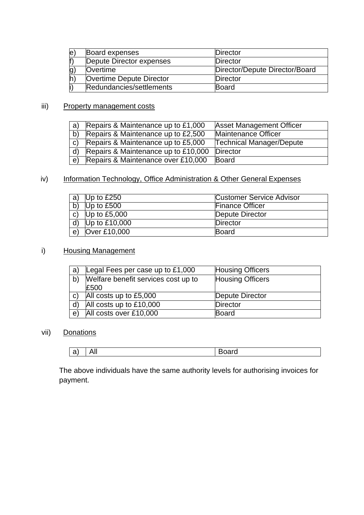| le.          | Board expenses           | Director                       |
|--------------|--------------------------|--------------------------------|
| f            | Depute Director expenses | Director                       |
| g            | <b>Overtime</b>          | Director/Depute Director/Board |
| $\mathsf{h}$ | Overtime Depute Director | Director                       |
|              | Redundancies/settlements | Board                          |

## iii) Property management costs

| a)           | Repairs & Maintenance up to £1,000  | <b>Asset Management Officer</b> |
|--------------|-------------------------------------|---------------------------------|
| b)           | Repairs & Maintenance up to £2,500  | Maintenance Officer             |
| $\mathbf{C}$ | Repairs & Maintenance up to £5,000  | <b>Technical Manager/Depute</b> |
| $\mathsf{d}$ | Repairs & Maintenance up to £10,000 | Director                        |
| $\epsilon$   | Repairs & Maintenance over £10,000  | <b>Board</b>                    |

## iv) Information Technology, Office Administration & Other General Expenses

| a)           | Up to $£250$          | <b>Customer Service Advisor</b> |
|--------------|-----------------------|---------------------------------|
|              | $\mathsf{Up}$ to £500 | <b>Finance Officer</b>          |
| $\mathbf{C}$ | Up to $£5,000$        | Depute Director                 |
|              | Up to $£10,000$       | Director                        |
| e)           | Over £10,000          | <b>Board</b>                    |

## i) Housing Management

| a)           | Legal Fees per case up to £1,000    | <b>Housing Officers</b> |
|--------------|-------------------------------------|-------------------------|
| b)           | Welfare benefit services cost up to | <b>Housing Officers</b> |
|              | £500                                |                         |
| $\mathsf{C}$ | All costs up to £5,000              | Depute Director         |
| d)           | All costs up to £10,000             | <b>Director</b>         |
| e)           | All costs over £10,000              | <b>Board</b>            |

### vii) Donations

| $\sim$ |    |
|--------|----|
| ,,,,   | uu |

The above individuals have the same authority levels for authorising invoices for payment.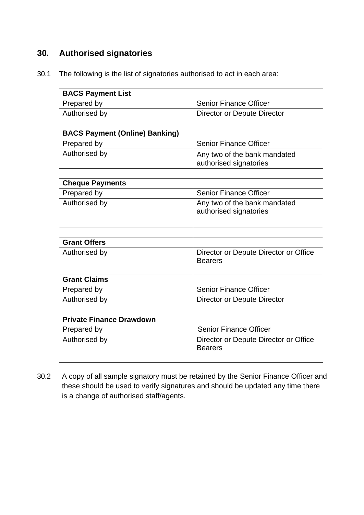# **30. Authorised signatories**

30.1 The following is the list of signatories authorised to act in each area:

| <b>BACS Payment List</b>              |                                                         |
|---------------------------------------|---------------------------------------------------------|
| Prepared by                           | <b>Senior Finance Officer</b>                           |
| Authorised by                         | Director or Depute Director                             |
|                                       |                                                         |
| <b>BACS Payment (Online) Banking)</b> |                                                         |
| Prepared by                           | <b>Senior Finance Officer</b>                           |
| Authorised by                         | Any two of the bank mandated<br>authorised signatories  |
|                                       |                                                         |
| <b>Cheque Payments</b>                |                                                         |
| Prepared by                           | <b>Senior Finance Officer</b>                           |
| Authorised by                         | Any two of the bank mandated<br>authorised signatories  |
| <b>Grant Offers</b>                   |                                                         |
| Authorised by                         | Director or Depute Director or Office<br><b>Bearers</b> |
|                                       |                                                         |
| <b>Grant Claims</b>                   |                                                         |
| Prepared by                           | <b>Senior Finance Officer</b>                           |
| Authorised by                         | Director or Depute Director                             |
| <b>Private Finance Drawdown</b>       |                                                         |
| Prepared by                           | <b>Senior Finance Officer</b>                           |
| Authorised by                         | Director or Depute Director or Office<br><b>Bearers</b> |
|                                       |                                                         |

30.2 A copy of all sample signatory must be retained by the Senior Finance Officer and these should be used to verify signatures and should be updated any time there is a change of authorised staff/agents.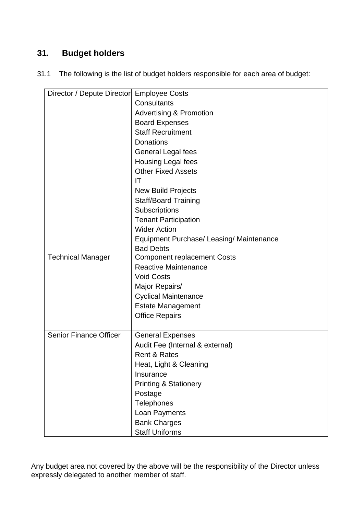# **31. Budget holders**

31.1 The following is the list of budget holders responsible for each area of budget:

| Director / Depute Director Employee Costs |                                          |
|-------------------------------------------|------------------------------------------|
|                                           | Consultants                              |
|                                           | <b>Advertising &amp; Promotion</b>       |
|                                           | <b>Board Expenses</b>                    |
|                                           | <b>Staff Recruitment</b>                 |
|                                           | <b>Donations</b>                         |
|                                           | <b>General Legal fees</b>                |
|                                           | <b>Housing Legal fees</b>                |
|                                           | <b>Other Fixed Assets</b>                |
|                                           | IT                                       |
|                                           | <b>New Build Projects</b>                |
|                                           | <b>Staff/Board Training</b>              |
|                                           | Subscriptions                            |
|                                           | <b>Tenant Participation</b>              |
|                                           | <b>Wider Action</b>                      |
|                                           | Equipment Purchase/ Leasing/ Maintenance |
|                                           | <b>Bad Debts</b>                         |
| <b>Technical Manager</b>                  | <b>Component replacement Costs</b>       |
|                                           | <b>Reactive Maintenance</b>              |
|                                           | <b>Void Costs</b>                        |
|                                           | Major Repairs/                           |
|                                           | <b>Cyclical Maintenance</b>              |
|                                           | <b>Estate Management</b>                 |
|                                           | <b>Office Repairs</b>                    |
|                                           |                                          |
| <b>Senior Finance Officer</b>             | <b>General Expenses</b>                  |
|                                           | Audit Fee (Internal & external)          |
|                                           | <b>Rent &amp; Rates</b>                  |
|                                           | Heat, Light & Cleaning                   |
|                                           | Insurance                                |
|                                           | <b>Printing &amp; Stationery</b>         |
|                                           | Postage                                  |
|                                           | <b>Telephones</b>                        |
|                                           | Loan Payments                            |
|                                           | <b>Bank Charges</b>                      |
|                                           | <b>Staff Uniforms</b>                    |

Any budget area not covered by the above will be the responsibility of the Director unless expressly delegated to another member of staff.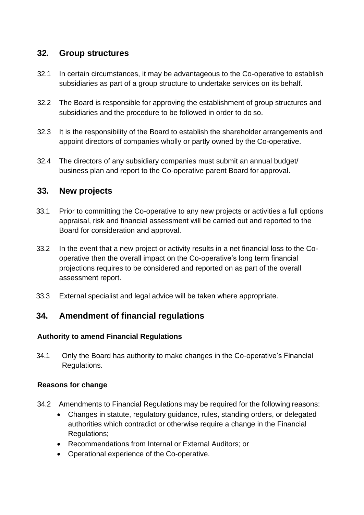## **32. Group structures**

- 32.1 In certain circumstances, it may be advantageous to the Co-operative to establish subsidiaries as part of a group structure to undertake services on its behalf.
- 32.2 The Board is responsible for approving the establishment of group structures and subsidiaries and the procedure to be followed in order to do so.
- 32.3 It is the responsibility of the Board to establish the shareholder arrangements and appoint directors of companies wholly or partly owned by the Co-operative.
- 32.4 The directors of any subsidiary companies must submit an annual budget/ business plan and report to the Co-operative parent Board for approval.

# **33. New projects**

- 33.1 Prior to committing the Co-operative to any new projects or activities a full options appraisal, risk and financial assessment will be carried out and reported to the Board for consideration and approval.
- 33.2 In the event that a new project or activity results in a net financial loss to the Cooperative then the overall impact on the Co-operative's long term financial projections requires to be considered and reported on as part of the overall assessment report.
- 33.3 External specialist and legal advice will be taken where appropriate.

# **34. Amendment of financial regulations**

#### **Authority to amend Financial Regulations**

34.1 Only the Board has authority to make changes in the Co-operative's Financial Regulations.

#### **Reasons for change**

- 34.2 Amendments to Financial Regulations may be required for the following reasons:
	- Changes in statute, regulatory guidance, rules, standing orders, or delegated authorities which contradict or otherwise require a change in the Financial Regulations;
	- Recommendations from Internal or External Auditors; or
	- Operational experience of the Co-operative.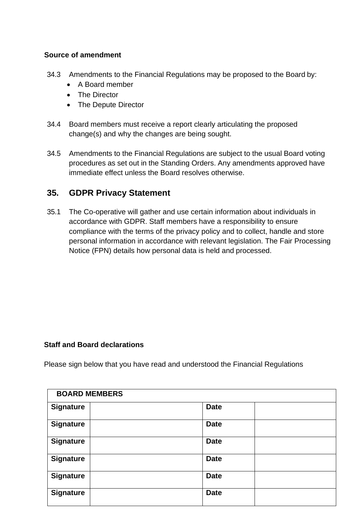#### **Source of amendment**

- 34.3 Amendments to the Financial Regulations may be proposed to the Board by:
	- A Board member
	- The Director
	- The Depute Director
- 34.4 Board members must receive a report clearly articulating the proposed change(s) and why the changes are being sought.
- 34.5 Amendments to the Financial Regulations are subject to the usual Board voting procedures as set out in the Standing Orders. Any amendments approved have immediate effect unless the Board resolves otherwise.

## **35. GDPR Privacy Statement**

35.1 The Co-operative will gather and use certain information about individuals in accordance with GDPR. Staff members have a responsibility to ensure compliance with the terms of the privacy policy and to collect, handle and store personal information in accordance with relevant legislation. The Fair Processing Notice (FPN) details how personal data is held and processed.

#### **Staff and Board declarations**

Please sign below that you have read and understood the Financial Regulations

| <b>BOARD MEMBERS</b> |             |  |  |  |
|----------------------|-------------|--|--|--|
| <b>Signature</b>     | <b>Date</b> |  |  |  |
| <b>Signature</b>     | <b>Date</b> |  |  |  |
| <b>Signature</b>     | <b>Date</b> |  |  |  |
| <b>Signature</b>     | <b>Date</b> |  |  |  |
| <b>Signature</b>     | <b>Date</b> |  |  |  |
| <b>Signature</b>     | <b>Date</b> |  |  |  |